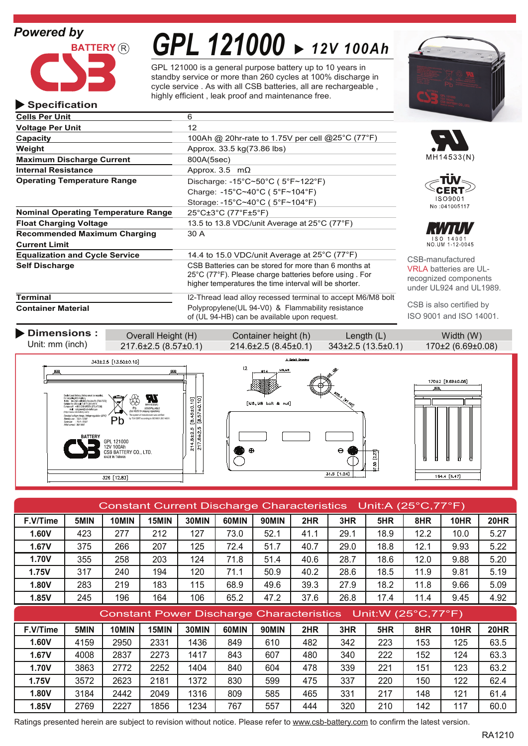# *Powered by*

**Specification**



# *GPL 121000 12V 100Ah*

GPL 121000 is a general purpose battery up to 10 years in standby service or more than 260 cycles at 100% discharge in cycle service . As with all CSB batteries, all are rechargeable , highly efficient , leak proof and maintenance free.

| <b>Cells Per Unit</b>                      | 6                                                                                                                                                                                             |  |  |
|--------------------------------------------|-----------------------------------------------------------------------------------------------------------------------------------------------------------------------------------------------|--|--|
| <b>Voltage Per Unit</b>                    | 12                                                                                                                                                                                            |  |  |
| Capacity                                   | 100Ah @ 20hr-rate to 1.75V per cell @25°C (77°F)                                                                                                                                              |  |  |
| Weight                                     | Approx. 33.5 kg(73.86 lbs)                                                                                                                                                                    |  |  |
| <b>Maximum Discharge Current</b>           | 800A(5sec)                                                                                                                                                                                    |  |  |
| <b>Internal Resistance</b>                 | Approx. 3.5 $m\Omega$                                                                                                                                                                         |  |  |
| <b>Operating Temperature Range</b>         | Discharge: -15°C~50°C (5°F~122°F)                                                                                                                                                             |  |  |
|                                            | Charge: -15°C~40°C (5°F~104°F)                                                                                                                                                                |  |  |
|                                            | Storage: -15°C~40°C (5°F~104°F)                                                                                                                                                               |  |  |
| <b>Nominal Operating Temperature Range</b> | $25^{\circ}$ C $\pm 3^{\circ}$ C (77 $^{\circ}$ F $\pm 5^{\circ}$ F)                                                                                                                          |  |  |
| <b>Float Charging Voltage</b>              | 13.5 to 13.8 VDC/unit Average at 25°C (77°F)                                                                                                                                                  |  |  |
| <b>Recommended Maximum Charging</b>        | 30 A                                                                                                                                                                                          |  |  |
| <b>Current Limit</b>                       |                                                                                                                                                                                               |  |  |
| <b>Equalization and Cycle Service</b>      | 14.4 to 15.0 VDC/unit Average at 25°C (77°F)                                                                                                                                                  |  |  |
| <b>Self Discharge</b>                      | CSB Batteries can be stored for more than 6 months at<br>$25^{\circ}$ C (77 $^{\circ}$ F). Please charge batteries before using For<br>higher temperatures the time interval will be shorter. |  |  |
|                                            | .                                                                                                                                                                                             |  |  |

I2-Thread lead alloy recessed terminal to accept M6/M8 bolt Polypropylene(UL 94-V0) & Flammability resistance of (UL 94-HB) can be available upon request.









B-manufactured **A** batteries are ULognized components ler UL924 and UL1989.

CSB is also certified by ISO 9001 and ISO 14001.

**Terminal**

**Container Material**



| Constant Current Discharge Characteristics Unit:A (25°C,77°F) |      |       |       |       |       |              |      |      |      |      |             |             |
|---------------------------------------------------------------|------|-------|-------|-------|-------|--------------|------|------|------|------|-------------|-------------|
| F.V/Time                                                      | 5MIN | 10MIN | 15MIN | 30MIN | 60MIN | <b>90MIN</b> | 2HR  | 3HR  | 5HR  | 8HR  | 10HR        | <b>20HR</b> |
| <b>1.60V</b>                                                  | 423  | 277   | 212   | 127   | 73.0  | 52.1         | 41.1 | 29.1 | 18.9 | 12.2 | 10.0        | 5.27        |
| 1.67V                                                         | 375  | 266   | 207   | 125   | 72.4  | 51.7         | 40.7 | 29.0 | 18.8 | 12.1 | 9.93        | 5.22        |
| 1.70V                                                         | 355  | 258   | 203   | 124   | 71.8  | 51.4         | 40.6 | 28.7 | 18.6 | 12.0 | 9.88        | 5.20        |
| 1.75V                                                         | 317  | 240   | 194   | 120   | 71.1  | 50.9         | 40.2 | 28.6 | 18.5 | 11.9 | 9.81        | 5.19        |
| <b>1.80V</b>                                                  | 283  | 219   | 183   | 115   | 68.9  | 49.6         | 39.3 | 27.9 | 18.2 | 11.8 | 9.66        | 5.09        |
| 1.85V                                                         | 245  | 196   | 164   | 106   | 65.2  | 47.2         | 37.6 | 26.8 | 17.4 | 11.4 | 9.45        | 4.92        |
| Constant Power Discharge Characteristics Unit: W (25°C, 77°F) |      |       |       |       |       |              |      |      |      |      |             |             |
|                                                               |      |       |       |       |       |              |      |      |      |      |             |             |
| F.V/Time                                                      | 5MIN | 10MIN | 15MIN | 30MIN | 60MIN | <b>90MIN</b> | 2HR  | 3HR  | 5HR  | 8HR  | <b>10HR</b> | 20HR        |
| 1.60V                                                         | 4159 | 2950  | 2331  | 1436  | 849   | 610          | 482  | 342  | 223  | 153  | 125         | 63.5        |
| 1.67V                                                         | 4008 | 2837  | 2273  | 1417  | 843   | 607          | 480  | 340  | 222  | 152  | 124         | 63.3        |
| <b>1.70V</b>                                                  | 3863 | 2772  | 2252  | 1404  | 840   | 604          | 478  | 339  | 221  | 151  | 123         | 63.2        |
| <b>1.75V</b>                                                  | 3572 | 2623  | 2181  | 1372  | 830   | 599          | 475  | 337  | 220  | 150  | 122         | 62.4        |
| <b>1.80V</b>                                                  | 3184 | 2442  | 2049  | 1316  | 809   | 585          | 465  | 331  | 217  | 148  | 121         | 61.4        |

Ratings presented herein are subject to revision without notice. Please refer to www.csb-battery.com to confirm the latest version.